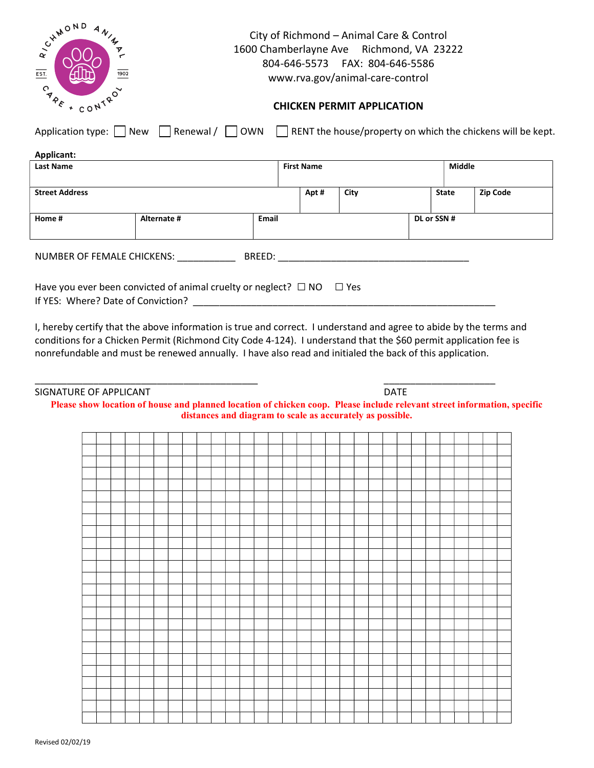| CHAMOND<br>ANINT-<br>$\overline{EST.}$<br>1902<br><b>CARE</b><br>$\sim$<br>+ CONTR | City of Richmond - Animal Care & Control<br>1600 Chamberlayne Ave Richmond, VA 23222<br>804-646-5573    FAX: 804-646-5586<br>www.rva.gov/animal-care-control<br><b>CHICKEN PERMIT APPLICATION</b> |       |                   |      |             |               |                 |  |  |
|------------------------------------------------------------------------------------|---------------------------------------------------------------------------------------------------------------------------------------------------------------------------------------------------|-------|-------------------|------|-------------|---------------|-----------------|--|--|
|                                                                                    | Application type: $\Box$ New $\Box$ Renewal / $\Box$ OWN $\Box$ RENT the house/property on which the chickens will be kept.                                                                       |       |                   |      |             |               |                 |  |  |
| Applicant:                                                                         |                                                                                                                                                                                                   |       |                   |      |             |               |                 |  |  |
| <b>Last Name</b>                                                                   |                                                                                                                                                                                                   |       | <b>First Name</b> |      |             | <b>Middle</b> |                 |  |  |
|                                                                                    |                                                                                                                                                                                                   |       |                   |      |             |               |                 |  |  |
| <b>Street Address</b>                                                              |                                                                                                                                                                                                   |       | Apt#              | City |             | <b>State</b>  | <b>Zip Code</b> |  |  |
|                                                                                    |                                                                                                                                                                                                   |       |                   |      |             |               |                 |  |  |
| Home #                                                                             | Alternate #                                                                                                                                                                                       | Email |                   |      | DL or SSN # |               |                 |  |  |
|                                                                                    |                                                                                                                                                                                                   |       |                   |      |             |               |                 |  |  |
| NUMBER OF FEMALE CHICKENS: BREED: BREED:                                           |                                                                                                                                                                                                   |       |                   |      |             |               |                 |  |  |
|                                                                                    | Have you ever been convicted of animal cruelty or neglect? $\Box$ NO $\Box$ Yes                                                                                                                   |       |                   |      |             |               |                 |  |  |
| If YES: Where? Date of Conviction?                                                 |                                                                                                                                                                                                   |       |                   |      |             |               |                 |  |  |
|                                                                                    |                                                                                                                                                                                                   |       |                   |      |             |               |                 |  |  |

I, hereby certify that the above information is true and correct. I understand and agree to abide by the terms and conditions for a Chicken Permit (Richmond City Code 4-124). I understand that the \$60 permit application fee is nonrefundable and must be renewed annually. I have also read and initialed the back of this application.

\_\_\_\_\_\_\_\_\_\_\_\_\_\_\_\_\_\_\_\_\_\_\_\_\_\_\_\_\_\_\_\_\_\_\_\_\_\_\_\_\_\_ \_\_\_\_\_\_\_\_\_\_\_\_\_\_\_\_\_\_\_\_\_

SIGNATURE OF APPLICANT **DATE** 

| Please show location of house and planned location of chicken coop. Please include relevant street information, specific |
|--------------------------------------------------------------------------------------------------------------------------|
| distances and diagram to scale as accurately as possible.                                                                |